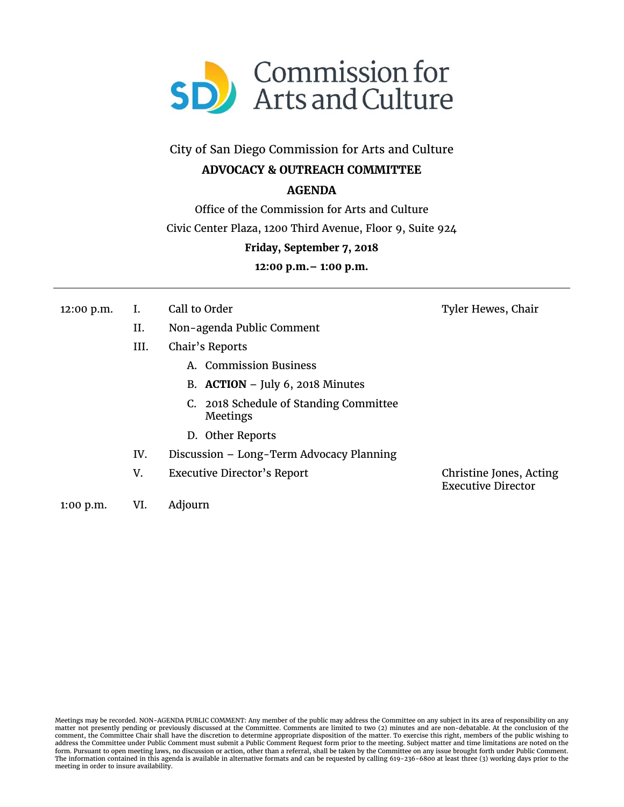

City of San Diego Commission for Arts and Culture

## **ADVOCACY & OUTREACH COMMITTEE**

## **AGENDA**

Office of the Commission for Arts and Culture

Civic Center Plaza, 1200 Third Avenue, Floor 9, Suite 924

### **Friday, September 7, 2018**

**12:00 p.m.– 1:00 p.m.** 

| 12:00 p.m. |  | Call to Order |
|------------|--|---------------|
|------------|--|---------------|

- II. Non-agenda Public Comment
- III. Chair's Reports
	- A. Commission Business
	- B. **ACTION**  July 6, 2018 Minutes
	- C. 2018 Schedule of Standing Committee Meetings
	- D. Other Reports
- IV. Discussion Long-Term Advocacy Planning
- V. Executive Director's Report Christine Jones, Acting

Executive Director

Tyler Hewes, Chair

1:00 p.m. VI. Adjourn

Meetings may be recorded. NON-AGENDA PUBLIC COMMENT: Any member of the public may address the Committee on any subject in its area of responsibility on any matter not presently pending or previously discussed at the Committee. Comments are limited to two (2) minutes and are non-debatable. At the conclusion of the comment, the Committee Chair shall have the discretion to determine appropriate disposition of the matter. To exercise this right, members of the public wishing to<br>address the Committee under Public Comment must submit a P The information contained in this agenda is available in alternative formats and can be requested by calling 619-236-6800 at least three (3) working days prior to the meeting in order to insure availability.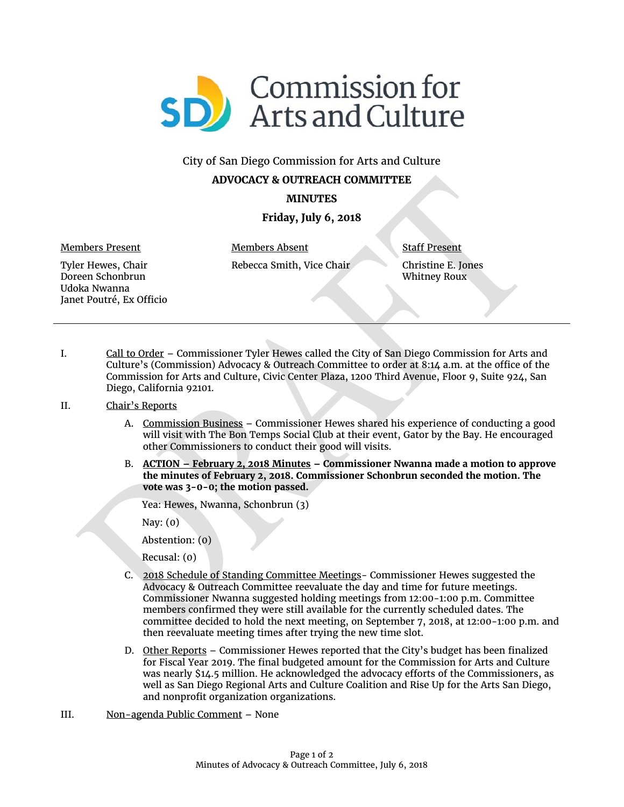

# City of San Diego Commission for Arts and Culture

# **ADVOCACY & OUTREACH COMMITTEE**

**MINUTES** 

### **Friday, July 6, 2018**

Members Present

Members Absent Rebecca Smith, Vice Chair Staff Present

Christine E. Jones Whitney Roux

Tyler Hewes, Chair Doreen Schonbrun Udoka Nwanna Janet Poutré, Ex Officio

I. Call to Order – Commissioner Tyler Hewes called the City of San Diego Commission for Arts and Culture's (Commission) Advocacy & Outreach Committee to order at 8:14 a.m. at the office of the Commission for Arts and Culture, Civic Center Plaza, 1200 Third Avenue, Floor 9, Suite 924, San Diego, California 92101.

#### II. Chair's Reports

- A. Commission Business Commissioner Hewes shared his experience of conducting a good will visit with The Bon Temps Social Club at their event, Gator by the Bay. He encouraged other Commissioners to conduct their good will visits.
- B. **ACTION February 2, 2018 Minutes Commissioner Nwanna made a motion to approve the minutes of February 2, 2018. Commissioner Schonbrun seconded the motion. The vote was 3-0-0; the motion passed.**

Yea: Hewes, Nwanna, Schonbrun (3)

Nay: (0)

Abstention: (0)

Recusal: (0)

- C. 2018 Schedule of Standing Committee Meetings- Commissioner Hewes suggested the Advocacy & Outreach Committee reevaluate the day and time for future meetings. Commissioner Nwanna suggested holding meetings from 12:00-1:00 p.m. Committee members confirmed they were still available for the currently scheduled dates. The committee decided to hold the next meeting, on September 7, 2018, at 12:00-1:00 p.m. and then reevaluate meeting times after trying the new time slot.
- D. Other Reports Commissioner Hewes reported that the City's budget has been finalized for Fiscal Year 2019. The final budgeted amount for the Commission for Arts and Culture was nearly \$14.5 million. He acknowledged the advocacy efforts of the Commissioners, as well as San Diego Regional Arts and Culture Coalition and Rise Up for the Arts San Diego, and nonprofit organization organizations.
- III. Non-agenda Public Comment None